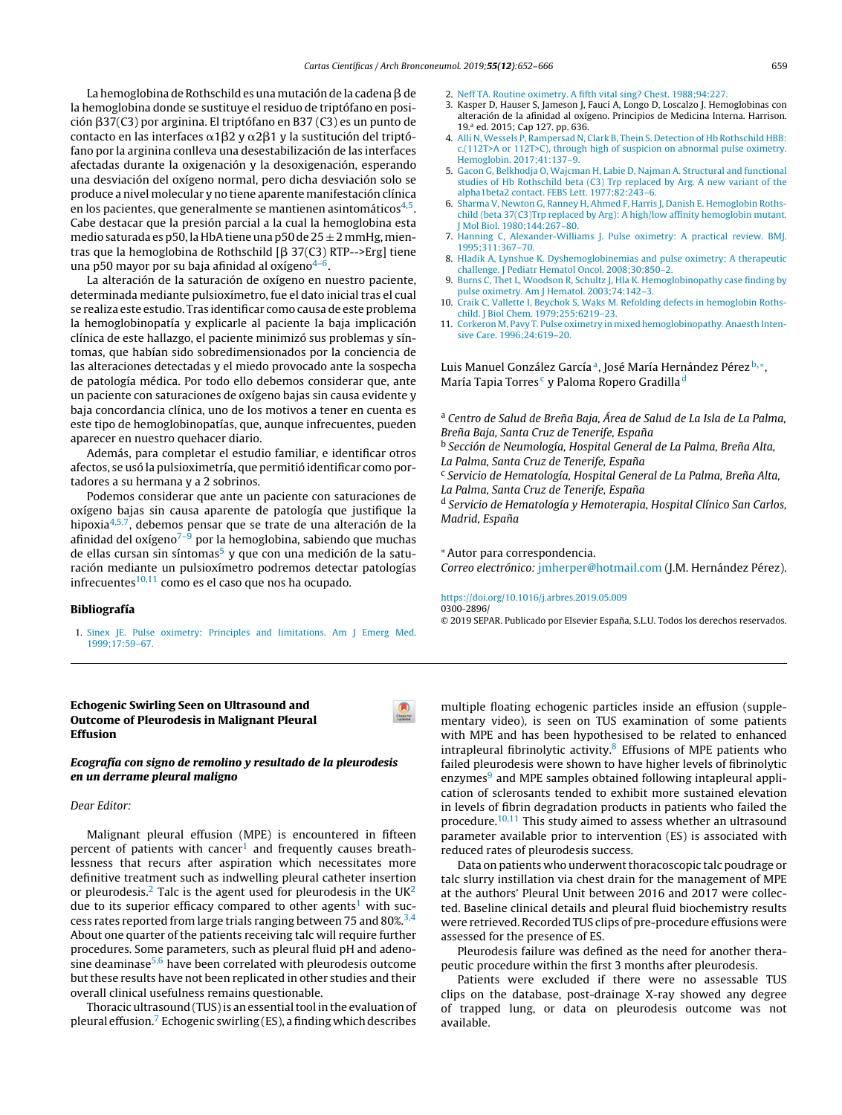La hemoglobina de Rothschild es una mutación de la cadena  $\beta$  de la hemoglobina donde se sustituye el residuo de triptófano en posi[ción](http://refhub.elsevier.com/S0300-2896(19)30222-4/sbref0150) β[37\(](http://refhub.elsevier.com/S0300-2896(19)30222-4/sbref0065)[C3\)](http://refhub.elsevier.com/S0300-2896(19)30222-4/sbref0065) [p](http://refhub.elsevier.com/S0300-2896(19)30222-4/sbref0150)[or](http://refhub.elsevier.com/S0300-2896(19)30222-4/sbref0065) [argin](http://refhub.elsevier.com/S0300-2896(19)30222-4/sbref0065)[ina.](http://refhub.elsevier.com/S0300-2896(19)30222-4/sbref0150) [El](http://refhub.elsevier.com/S0300-2896(19)30222-4/sbref0065) [tr](http://refhub.elsevier.com/S0300-2896(19)30222-4/sbref0150)[ip](http://refhub.elsevier.com/S0300-2896(19)30222-4/sbref0065)[tó](http://refhub.elsevier.com/S0300-2896(19)30222-4/sbref0150)[fano](http://refhub.elsevier.com/S0300-2896(19)30222-4/sbref0065) en [B37](http://refhub.elsevier.com/S0300-2896(19)30222-4/sbref0065) [\(](http://refhub.elsevier.com/S0300-2896(19)30222-4/sbref0150)C3) [es](http://refhub.elsevier.com/S0300-2896(19)30222-4/sbref0150) [un](http://refhub.elsevier.com/S0300-2896(19)30222-4/sbref0065) [pun](http://refhub.elsevier.com/S0300-2896(19)30222-4/sbref0150)[to](http://refhub.elsevier.com/S0300-2896(19)30222-4/sbref0065) de [co](http://refhub.elsevier.com/S0300-2896(19)30222-4/sbref0150)[n](http://refhub.elsevier.com/S0300-2896(19)30222-4/sbref0065)[tacto](http://refhub.elsevier.com/S0300-2896(19)30222-4/sbref0150) en l[as](http://refhub.elsevier.com/S0300-2896(19)30222-4/sbref0150) [interface](http://refhub.elsevier.com/S0300-2896(19)30222-4/sbref0150)s  $\alpha$ 1 $\beta$ [2](http://refhub.elsevier.com/S0300-2896(19)30222-4/sbref0065) y  $\alpha$ 2 $\beta$ 1 y la [sustitu](http://refhub.elsevier.com/S0300-2896(19)30222-4/sbref0150)[c](http://refhub.elsevier.com/S0300-2896(19)30222-4/sbref0065)[ión](http://refhub.elsevier.com/S0300-2896(19)30222-4/sbref0150) [del](http://refhub.elsevier.com/S0300-2896(19)30222-4/sbref0150) tr[ip](http://refhub.elsevier.com/S0300-2896(19)30222-4/sbref0150)tó[fano](http://refhub.elsevier.com/S0300-2896(19)30222-4/sbref0070) p[or](http://refhub.elsevier.com/S0300-2896(19)30222-4/sbref0070) la [arginina](http://refhub.elsevier.com/S0300-2896(19)30222-4/sbref0070) [con](http://refhub.elsevier.com/S0300-2896(19)30222-4/sbref0150)[ll](http://refhub.elsevier.com/S0300-2896(19)30222-4/sbref0070)[e](http://refhub.elsevier.com/S0300-2896(19)30222-4/sbref0150)[va](http://refhub.elsevier.com/S0300-2896(19)30222-4/sbref0070) una [desest](http://refhub.elsevier.com/S0300-2896(19)30222-4/sbref0070)[ab](http://refhub.elsevier.com/S0300-2896(19)30222-4/sbref0150)[ilización](http://refhub.elsevier.com/S0300-2896(19)30222-4/sbref0070) de las [interfac](http://refhub.elsevier.com/S0300-2896(19)30222-4/sbref0070)es [afect](http://refhub.elsevier.com/S0300-2896(19)30222-4/sbref0070)[adas](http://refhub.elsevier.com/S0300-2896(19)30222-4/sbref0155) [dur](http://refhub.elsevier.com/S0300-2896(19)30222-4/sbref0070)[ante](http://refhub.elsevier.com/S0300-2896(19)30222-4/sbref0155) la [oxigenación](http://refhub.elsevier.com/S0300-2896(19)30222-4/sbref0155) [y](http://refhub.elsevier.com/S0300-2896(19)30222-4/sbref0155) [la](http://refhub.elsevier.com/S0300-2896(19)30222-4/sbref0155) [desoxigenación,](http://refhub.elsevier.com/S0300-2896(19)30222-4/sbref0155) [esperan](http://refhub.elsevier.com/S0300-2896(19)30222-4/sbref0155)do [una](http://refhub.elsevier.com/S0300-2896(19)30222-4/sbref0155) [desviación](http://refhub.elsevier.com/S0300-2896(19)30222-4/sbref0155) [del](http://refhub.elsevier.com/S0300-2896(19)30222-4/sbref0155) o[xígeno](http://refhub.elsevier.com/S0300-2896(19)30222-4/sbref0155) nor[mal](http://refhub.elsevier.com/S0300-2896(19)30222-4/sbref0155), pero dicha des[viación](http://www.archbronconeumol.org) solo se [produc](http://refhub.elsevier.com/S0300-2896(19)30222-4/sbref0160)e [a](http://refhub.elsevier.com/S0300-2896(19)30222-4/sbref0160) [nivel](http://refhub.elsevier.com/S0300-2896(19)30222-4/sbref0160) [molecular](http://refhub.elsevier.com/S0300-2896(19)30222-4/sbref0160) y [no](http://refhub.elsevier.com/S0300-2896(19)30222-4/sbref0160) ti[en](http://refhub.elsevier.com/S0300-2896(19)30222-4/sbref0160)e [aparente](http://refhub.elsevier.com/S0300-2896(19)30222-4/sbref0160) [manifestación](http://refhub.elsevier.com/S0300-2896(19)30222-4/sbref0160) [clín](http://refhub.elsevier.com/S0300-2896(19)30222-4/sbref0160)ica [en](http://refhub.elsevier.com/S0300-2896(19)30222-4/sbref0165) [los](http://refhub.elsevier.com/S0300-2896(19)30222-4/sbref0160) [p](http://refhub.elsevier.com/S0300-2896(19)30222-4/sbref0160)[a](http://refhub.elsevier.com/S0300-2896(19)30222-4/sbref0165)[cie](http://refhub.elsevier.com/S0300-2896(19)30222-4/sbref0160)[n](http://refhub.elsevier.com/S0300-2896(19)30222-4/sbref0165)[tes,](http://refhub.elsevier.com/S0300-2896(19)30222-4/sbref0160) [que](http://refhub.elsevier.com/S0300-2896(19)30222-4/sbref0165) [gener](http://refhub.elsevier.com/S0300-2896(19)30222-4/sbref0160)[almen](http://refhub.elsevier.com/S0300-2896(19)30222-4/sbref0165)[te](http://refhub.elsevier.com/S0300-2896(19)30222-4/sbref0160) [s](http://refhub.elsevier.com/S0300-2896(19)30222-4/sbref0160)e [man](http://refhub.elsevier.com/S0300-2896(19)30222-4/sbref0165)[tiene](http://refhub.elsevier.com/S0300-2896(19)30222-4/sbref0160)n [asin](http://refhub.elsevier.com/S0300-2896(19)30222-4/sbref0160)[tomáticos](dx.doi.org/10.1016/j.rmcr.2017.04.007)<sup>4,5</sup>. [Ca](http://refhub.elsevier.com/S0300-2896(19)30222-4/sbref0165)be [destacar](http://refhub.elsevier.com/S0300-2896(19)30222-4/sbref0165) que [la](http://refhub.elsevier.com/S0300-2896(19)30222-4/sbref0165) [presión](http://refhub.elsevier.com/S0300-2896(19)30222-4/sbref0165) [parcial](http://refhub.elsevier.com/S0300-2896(19)30222-4/sbref0165) [a](http://refhub.elsevier.com/S0300-2896(19)30222-4/sbref0165) la [cu](http://refhub.elsevier.com/S0300-2896(19)30222-4/sbref0165)al [la](http://refhub.elsevier.com/S0300-2896(19)30222-4/sbref0165) h[emoglobina](http://refhub.elsevier.com/S0300-2896(19)30222-4/sbref0165) esta [med](http://refhub.elsevier.com/S0300-2896(19)30222-4/sbref0165)io [saturada](http://refhub.elsevier.com/S0300-2896(19)30222-4/sbref0165) [es](http://refhub.elsevier.com/S0300-2896(19)30222-4/sbref0165) p50, la HbA tiene una p50 de  $25 \pm 2$  mmHg, mien[tras](http://refhub.elsevier.com/S0300-2896(19)30222-4/sbref0170) [que](http://refhub.elsevier.com/S0300-2896(19)30222-4/sbref0170) la [hemogl](dx.doi.org/10.1097/md.0000000000007417)[obina](http://refhub.elsevier.com/S0300-2896(19)30222-4/sbref0170) [de](http://refhub.elsevier.com/S0300-2896(19)30222-4/sbref0170) [Rothschild](http://refhub.elsevier.com/S0300-2896(19)30222-4/sbref0170) [β [37\(C3\)](http://refhub.elsevier.com/S0300-2896(19)30222-4/sbref0170) [RTP-->Erg\]](http://refhub.elsevier.com/S0300-2896(19)30222-4/sbref0170) [tie](http://refhub.elsevier.com/S0300-2896(19)30222-4/sbref0170)ne [una](http://refhub.elsevier.com/S0300-2896(19)30222-4/sbref0170) [p50](http://refhub.elsevier.com/S0300-2896(19)30222-4/sbref0170) [mayor](http://refhub.elsevier.com/S0300-2896(19)30222-4/sbref0170) p[or](http://refhub.elsevier.com/S0300-2896(19)30222-4/sbref0170) [s](http://refhub.elsevier.com/S0300-2896(19)30222-4/sbref0170)u baja afinidad al [oxígen](http://refhub.elsevier.com/S0300-2896(19)30222-4/sbref0170)o<sup>4–6</sup>.

La alteración de la s[aturación](dx.doi.org/10.1016/j.urolonc.2007.03.024) de oxígeno en nuestro p[acien](http://crossmark.crossref.org/dialog/?doi=10.1016/j.arbres.2019.05.010&domain=pdf)te, determinada mediante pulsioxímetro, fue el dato inicial tras el cual se realiza este estudio. Tras identificar como causa de este [problem](dx.doi.org/10.1093/ageing/afw221)a la [hemoglobinopatía](dx.doi.org/10.1093/ageing/afw221) y explicarle al paciente la baja implicación [clínica](http://refhub.elsevier.com/S0300-2896(19)30222-4/sbref0095) [de](http://refhub.elsevier.com/S0300-2896(19)30222-4/sbref0095) [este](http://refhub.elsevier.com/S0300-2896(19)30222-4/sbref0095) ha[llazgo,](http://refhub.elsevier.com/S0300-2896(19)30222-4/sbref0095) el [paciente](http://refhub.elsevier.com/S0300-2896(19)30222-4/sbref0095) [minimizó](http://refhub.elsevier.com/S0300-2896(19)30222-4/sbref0095) s[us](http://refhub.elsevier.com/S0300-2896(19)30222-4/sbref0095) [problema](http://refhub.elsevier.com/S0300-2896(19)30222-4/sbref0095)s [y](http://refhub.elsevier.com/S0300-2896(19)30222-4/sbref0095) sín[tomas,](http://refhub.elsevier.com/S0300-2896(19)30222-4/sbref0095) qu[e](http://refhub.elsevier.com/S0300-2896(19)30222-4/sbref0095) [habían](http://refhub.elsevier.com/S0300-2896(19)30222-4/sbref0095) [sido](http://refhub.elsevier.com/S0300-2896(19)30222-4/sbref0095) s[obredimensionados](http://refhub.elsevier.com/S0300-2896(19)30222-4/sbref0095) por la [conciencia](http://refhub.elsevier.com/S0300-2896(19)30222-4/sbref0095) de las al[teracione](http://refhub.elsevier.com/S0300-2896(19)30222-4/sbref0095)s d[etectadas](http://refhub.elsevier.com/S0300-2896(19)30222-4/sbref0095) y el [miedo](http://refhub.elsevier.com/S0300-2896(19)30222-4/sbref0095) [provoca](http://refhub.elsevier.com/S0300-2896(19)30222-4/sbref0095)do ante la sospecha de patología médica. Por todo ello debemos considerar que, ante un paciente con [saturaciones](dx.doi.org/10.1002/cncr.10328) de oxígeno bajas sin causa evidente y baja concordancia clínica, uno de los motivos a tener en cuenta es este tipo de [hemoglobinopatías,](dx.doi.org/10.1186/s13019-017-0630-4) que, aunque infrecuentes, pueden aparecer en nuestro quehacer diario.

Además, para completar el estudio familiar, e identificar otros afectos, se usó la pulsioximetría, que permitió identificar co[mo](http://crossmark.crossref.org/dialog/?doi=10.1016/j.arbres.2019.04.020&domain=pdf) portadores a su hermana y a 2 sobrinos.

Podemos considerar que ante un paciente con saturaciones de oxígeno bajas sin causa aparente de patología que justi[fique](http://crossmark.crossref.org/dialog/?doi=10.1016/j.arbres.2019.04.015&domain=pdf) la hipoxia<sup>4,5,7</sup>, debemos pensar que se trate de una alteración de la afinidad del oxígeno $7-9$  por la hemoglobina, sabiendo que muchas de ellas cursan sin síntomas<sup>5</sup> y que con una medición de la saturación mediante un pulsioxímetro podremos detectar patologías infrecuentes $10,11$  como es el caso que nos ha ocupado.

#### Bibliografía

- 1. [Sinex](http://refhub.elsevier.com/S0300-2896(19)30222-4/sbref0060) [JE.](http://refhub.elsevier.com/S0300-2896(19)30222-4/sbref0060) [Pulse](http://refhub.elsevier.com/S0300-2896(19)30222-4/sbref0060) [oximetry:](http://refhub.elsevier.com/S0300-2896(19)30222-4/sbref0060) [Principles](http://refhub.elsevier.com/S0300-2896(19)30222-4/sbref0060) [and](http://refhub.elsevier.com/S0300-2896(19)30222-4/sbref0060) [limitations.](http://refhub.elsevier.com/S0300-2896(19)30222-4/sbref0060) [Am](http://refhub.elsevier.com/S0300-2896(19)30222-4/sbref0060) [J](http://refhub.elsevier.com/S0300-2896(19)30222-4/sbref0060) [Emerg](http://refhub.elsevier.com/S0300-2896(19)30222-4/sbref0060) [Med.](http://refhub.elsevier.com/S0300-2896(19)30222-4/sbref0060) [1999;17:59](http://refhub.elsevier.com/S0300-2896(19)30222-4/sbref0060)–[67.](http://refhub.elsevier.com/S0300-2896(19)30222-4/sbref0060)
- Echogenic Swirling Seen on Ultrasound and Outcome of Pleurodesis in Malignant Pleural Effusion

## Ecografía con signo de remolino y resultado de la pleurodesis en un derrame pleural maligno

## Dear Editor:

Malignant pleural effusion (MPE) is encountered in fifteen percent of patients with cancer<sup>[1](#page-2-0)</sup> and frequently causes breathlessness that recurs after aspiration which necessitates more definitive treatment such as indwelling pleural catheter insertion or pleurodesis.<sup>[2](#page-2-0)</sup> Talc is the agent used for pleurodesis in the  $UK<sup>2</sup>$ due to its superior efficacy compared to other agents<sup>[1](#page-2-0)</sup> with suc-cess rates reported from large trials ranging between 75 and 80%.<sup>[3,4](#page-2-0)</sup> About one quarter of the patients receiving talc will require further procedures. Some parameters, such as pleural fluid pH and adeno-sine deaminase<sup>[5,6](#page-2-0)</sup> have been correlated with pleurodesis outcome but these results have not been replicated in other studies and their overall clinical usefulness remains questionable.

Thoracic ultrasound (TUS) is an essential tool in the evaluation of pleural effusion.<sup>7</sup> [E](#page-2-0)chogenic swirling (ES), afinding which describes

- 2. [Neff](http://refhub.elsevier.com/S0300-2896(19)30222-4/sbref0065) [TA.](http://refhub.elsevier.com/S0300-2896(19)30222-4/sbref0065) [Routine](http://refhub.elsevier.com/S0300-2896(19)30222-4/sbref0065) [oximetry.](http://refhub.elsevier.com/S0300-2896(19)30222-4/sbref0065) [A](http://refhub.elsevier.com/S0300-2896(19)30222-4/sbref0065) [fifth](http://refhub.elsevier.com/S0300-2896(19)30222-4/sbref0065) [vital](http://refhub.elsevier.com/S0300-2896(19)30222-4/sbref0065) [sing?](http://refhub.elsevier.com/S0300-2896(19)30222-4/sbref0065) [Chest.](http://refhub.elsevier.com/S0300-2896(19)30222-4/sbref0065) [1988;94:227.](http://refhub.elsevier.com/S0300-2896(19)30222-4/sbref0065)
- 3. Kasper D, Hauser S, Jameson J, Fauci A, Longo D, Loscalzo J. Hemoglobinas con [altera](http://refhub.elsevier.com/S0300-2896(19)30222-4/sbref0040)c[ió](http://refhub.elsevier.com/S0300-2896(19)30222-4/sbref0040)n de la [afinida](http://refhub.elsevier.com/S0300-2896(19)30222-4/sbref0040)d al [oxígen](http://refhub.elsevier.com/S0300-2896(19)30222-4/sbref0040)o. [Principios](dx.doi.org/10.1007/s00776-013-0462-6) de [Medicin](http://refhub.elsevier.com/S0300-2896(19)30222-4/sbref0040)a [Interna.](http://refhub.elsevier.com/S0300-2896(19)30222-4/sbref0040) [Ha](http://refhub.elsevier.com/S0300-2896(19)30222-4/sbref0040)r[rison.](http://refhub.elsevier.com/S0300-2896(19)30222-4/sbref0040) [19.](http://refhub.elsevier.com/S0300-2896(19)30222-4/sbref0040)<sup>a</sup> ed. 20[15;](http://refhub.elsevier.com/S0300-2896(19)30222-4/sbref0040) Cap 127. pp. 636[.](http://refhub.elsevier.com/S0300-2896(19)30222-4/sbref0040)
- 4. [Alli](http://refhub.elsevier.com/S0300-2896(19)30222-4/sbref0075) [N,](http://refhub.elsevier.com/S0300-2896(19)30222-4/sbref0075) [Wessels](http://refhub.elsevier.com/S0300-2896(19)30222-4/sbref0075) [P,](http://refhub.elsevier.com/S0300-2896(19)30222-4/sbref0075) [Rampersad](http://refhub.elsevier.com/S0300-2896(19)30222-4/sbref0075) [N,](http://refhub.elsevier.com/S0300-2896(19)30222-4/sbref0075) [Clark](http://refhub.elsevier.com/S0300-2896(19)30222-4/sbref0075) [B,](http://refhub.elsevier.com/S0300-2896(19)30222-4/sbref0075) [Thein](http://refhub.elsevier.com/S0300-2896(19)30222-4/sbref0075) [S.](http://refhub.elsevier.com/S0300-2896(19)30222-4/sbref0075) [Detection](http://refhub.elsevier.com/S0300-2896(19)30222-4/sbref0075) [of](http://refhub.elsevier.com/S0300-2896(19)30222-4/sbref0075) [Hb](http://refhub.elsevier.com/S0300-2896(19)30222-4/sbref0075) [Rothschild](http://refhub.elsevier.com/S0300-2896(19)30222-4/sbref0075) [HBB:](http://refhub.elsevier.com/S0300-2896(19)30222-4/sbref0075) [c.\(112T>A](http://refhub.elsevier.com/S0300-2896(19)30222-4/sbref0075) [or](http://refhub.elsevier.com/S0300-2896(19)30222-4/sbref0075) [112T>C\),](http://refhub.elsevier.com/S0300-2896(19)30222-4/sbref0075) [through](http://refhub.elsevier.com/S0300-2896(19)30222-4/sbref0075) [high](http://refhub.elsevier.com/S0300-2896(19)30222-4/sbref0075) [of](http://refhub.elsevier.com/S0300-2896(19)30222-4/sbref0075) [suspicion](http://refhub.elsevier.com/S0300-2896(19)30222-4/sbref0075) [on](http://refhub.elsevier.com/S0300-2896(19)30222-4/sbref0075) [abnormal](http://refhub.elsevier.com/S0300-2896(19)30222-4/sbref0075) [pulse](http://refhub.elsevier.com/S0300-2896(19)30222-4/sbref0075) [oximetry.](http://refhub.elsevier.com/S0300-2896(19)30222-4/sbref0075) [Hemoglobin.](http://refhub.elsevier.com/S0300-2896(19)30222-4/sbref0075) [2017;41:137–9.](dx.doi.org/10.1186/1749-8090-4-45)
- 5. [Gacon](http://refhub.elsevier.com/S0300-2896(19)30222-4/sbref0080) [G,](http://refhub.elsevier.com/S0300-2896(19)30222-4/sbref0080) [Belkhodja](http://refhub.elsevier.com/S0300-2896(19)30222-4/sbref0080) [O,](http://refhub.elsevier.com/S0300-2896(19)30222-4/sbref0080) [Wajcman](http://refhub.elsevier.com/S0300-2896(19)30222-4/sbref0080) [H,](http://refhub.elsevier.com/S0300-2896(19)30222-4/sbref0080) [Labie](http://refhub.elsevier.com/S0300-2896(19)30222-4/sbref0080) [D,](http://refhub.elsevier.com/S0300-2896(19)30222-4/sbref0080) [Najman](http://refhub.elsevier.com/S0300-2896(19)30222-4/sbref0080) [A.](http://refhub.elsevier.com/S0300-2896(19)30222-4/sbref0080) [Structural](http://refhub.elsevier.com/S0300-2896(19)30222-4/sbref0080) [and](http://refhub.elsevier.com/S0300-2896(19)30222-4/sbref0080) [functional](http://refhub.elsevier.com/S0300-2896(19)30222-4/sbref0080) [studies](http://refhub.elsevier.com/S0300-2896(19)30222-4/sbref0080) [of](http://refhub.elsevier.com/S0300-2896(19)30222-4/sbref0080) [Hb](http://refhub.elsevier.com/S0300-2896(19)30222-4/sbref0080) [Rothschild](http://refhub.elsevier.com/S0300-2896(19)30222-4/sbref0080) [beta](http://refhub.elsevier.com/S0300-2896(19)30222-4/sbref0080) [\(C3\)](http://refhub.elsevier.com/S0300-2896(19)30222-4/sbref0080) [Trp](http://refhub.elsevier.com/S0300-2896(19)30222-4/sbref0080) [replaced](http://refhub.elsevier.com/S0300-2896(19)30222-4/sbref0080) [by](http://refhub.elsevier.com/S0300-2896(19)30222-4/sbref0080) [Arg.](http://refhub.elsevier.com/S0300-2896(19)30222-4/sbref0080) [A](http://refhub.elsevier.com/S0300-2896(19)30222-4/sbref0080) [new](http://refhub.elsevier.com/S0300-2896(19)30222-4/sbref0080) [variant](http://refhub.elsevier.com/S0300-2896(19)30222-4/sbref0080) [of](http://refhub.elsevier.com/S0300-2896(19)30222-4/sbref0080) [the](http://refhub.elsevier.com/S0300-2896(19)30222-4/sbref0080) [alpha1beta2](http://refhub.elsevier.com/S0300-2896(19)30222-4/sbref0080) [contact.](http://refhub.elsevier.com/S0300-2896(19)30222-4/sbref0080) [FEBS](http://refhub.elsevier.com/S0300-2896(19)30222-4/sbref0080) [Lett.](http://refhub.elsevier.com/S0300-2896(19)30222-4/sbref0080) [1](dx.doi.org/10.1177/2050313X18823468)[977;82:24](http://refhub.elsevier.com/S0300-2896(19)30222-4/sbref0080)[3–6](dx.doi.org/10.1177/2050313X18823468)[.](http://refhub.elsevier.com/S0300-2896(19)30222-4/sbref0080)
- 6. [Sharma](http://refhub.elsevier.com/S0300-2896(19)30222-4/sbref0085) [V,](http://refhub.elsevier.com/S0300-2896(19)30222-4/sbref0085) [Newton](http://refhub.elsevier.com/S0300-2896(19)30222-4/sbref0085) [G,](http://refhub.elsevier.com/S0300-2896(19)30222-4/sbref0085) [Ranney](http://refhub.elsevier.com/S0300-2896(19)30222-4/sbref0085) [H,](http://refhub.elsevier.com/S0300-2896(19)30222-4/sbref0085) [Ahmed](http://refhub.elsevier.com/S0300-2896(19)30222-4/sbref0085) [F,](http://refhub.elsevier.com/S0300-2896(19)30222-4/sbref0085) [Harris](http://refhub.elsevier.com/S0300-2896(19)30222-4/sbref0085) [J,](http://refhub.elsevier.com/S0300-2896(19)30222-4/sbref0085) [Danish](http://refhub.elsevier.com/S0300-2896(19)30222-4/sbref0085) [E.](http://refhub.elsevier.com/S0300-2896(19)30222-4/sbref0085) [Hemoglobin](http://refhub.elsevier.com/S0300-2896(19)30222-4/sbref0085) [Roths](http://refhub.elsevier.com/S0300-2896(19)30222-4/sbref0085)[child](http://refhub.elsevier.com/S0300-2896(19)30222-4/sbref0085) [\(beta](http://refhub.elsevier.com/S0300-2896(19)30222-4/sbref0085) [37\(C3\)Trp](http://refhub.elsevier.com/S0300-2896(19)30222-4/sbref0085) [replaced](http://refhub.elsevier.com/S0300-2896(19)30222-4/sbref0085) [by](http://refhub.elsevier.com/S0300-2896(19)30222-4/sbref0085) [Arg\):](http://refhub.elsevier.com/S0300-2896(19)30222-4/sbref0085) [A](http://refhub.elsevier.com/S0300-2896(19)30222-4/sbref0085) [high/low](http://refhub.elsevier.com/S0300-2896(19)30222-4/sbref0085) [affinity](http://refhub.elsevier.com/S0300-2896(19)30222-4/sbref0085) [hemoglobin](http://refhub.elsevier.com/S0300-2896(19)30222-4/sbref0085) [mutant](http://refhub.elsevier.com/S0300-2896(19)30222-4/sbref0085)[.](http://refhub.elsevier.com/S0300-2896(19)30222-4/sbref0055) [J](http://refhub.elsevier.com/S0300-2896(19)30222-4/sbref0085) [Mol](http://refhub.elsevier.com/S0300-2896(19)30222-4/sbref0085) [Biol.](http://refhub.elsevier.com/S0300-2896(19)30222-4/sbref0085) [1980;144:267](http://refhub.elsevier.com/S0300-2896(19)30222-4/sbref0085)[–](http://refhub.elsevier.com/S0300-2896(19)30222-4/sbref0055)[80](http://refhub.elsevier.com/S0300-2896(19)30222-4/sbref0085)[.](http://refhub.elsevier.com/S0300-2896(19)30222-4/sbref0055)
- 7. [Hanning](http://refhub.elsevier.com/S0300-2896(19)30222-4/sbref0090) [C,](http://refhub.elsevier.com/S0300-2896(19)30222-4/sbref0090) [Alexander-Williams](http://refhub.elsevier.com/S0300-2896(19)30222-4/sbref0090) [J.](http://refhub.elsevier.com/S0300-2896(19)30222-4/sbref0090) [Pulse](http://refhub.elsevier.com/S0300-2896(19)30222-4/sbref0090) [oximetry:](http://refhub.elsevier.com/S0300-2896(19)30222-4/sbref0090) [A](http://refhub.elsevier.com/S0300-2896(19)30222-4/sbref0090) [practical](http://refhub.elsevier.com/S0300-2896(19)30222-4/sbref0090) [review.](http://refhub.elsevier.com/S0300-2896(19)30222-4/sbref0090) [BMJ.](http://refhub.elsevier.com/S0300-2896(19)30222-4/sbref0090) [1995;311:367](http://refhub.elsevier.com/S0300-2896(19)30222-4/sbref0090)[–](http://refhub.elsevier.com/S0300-2896(19)30222-4/sbref0060)[70.](http://refhub.elsevier.com/S0300-2896(19)30222-4/sbref0090)
- 8. [Hladik](http://refhub.elsevier.com/S0300-2896(19)30222-4/sbref0095) [A,](http://refhub.elsevier.com/S0300-2896(19)30222-4/sbref0095) [Lynshue](http://refhub.elsevier.com/S0300-2896(19)30222-4/sbref0095) [K.](http://refhub.elsevier.com/S0300-2896(19)30222-4/sbref0095) [Dyshemoglobinemias](http://refhub.elsevier.com/S0300-2896(19)30222-4/sbref0095) [and](http://refhub.elsevier.com/S0300-2896(19)30222-4/sbref0095) [pulse](http://refhub.elsevier.com/S0300-2896(19)30222-4/sbref0095) [oximetry:](http://refhub.elsevier.com/S0300-2896(19)30222-4/sbref0095) [A](http://refhub.elsevier.com/S0300-2896(19)30222-4/sbref0095) [therapeutic](http://refhub.elsevier.com/S0300-2896(19)30222-4/sbref0095) [challenge.](http://refhub.elsevier.com/S0300-2896(19)30222-4/sbref0095) [J](http://refhub.elsevier.com/S0300-2896(19)30222-4/sbref0095) [Pediatr](http://refhub.elsevier.com/S0300-2896(19)30222-4/sbref0095) [Hematol](http://refhub.elsevier.com/S0300-2896(19)30222-4/sbref0095) [Oncol.](http://refhub.elsevier.com/S0300-2896(19)30222-4/sbref0095) [2008;30:850](http://refhub.elsevier.com/S0300-2896(19)30222-4/sbref0095)[–](http://refhub.elsevier.com/S0300-2896(19)30222-4/sbref0065)[2.](http://refhub.elsevier.com/S0300-2896(19)30222-4/sbref0095)
- 9. [Burns](http://refhub.elsevier.com/S0300-2896(19)30222-4/sbref0100) [C,](http://refhub.elsevier.com/S0300-2896(19)30222-4/sbref0100) [Thet](http://refhub.elsevier.com/S0300-2896(19)30222-4/sbref0100) [L,](http://refhub.elsevier.com/S0300-2896(19)30222-4/sbref0100) [Woodson](http://refhub.elsevier.com/S0300-2896(19)30222-4/sbref0100) [R,](http://refhub.elsevier.com/S0300-2896(19)30222-4/sbref0100) [Schultz](http://refhub.elsevier.com/S0300-2896(19)30222-4/sbref0100) [J,](http://refhub.elsevier.com/S0300-2896(19)30222-4/sbref0100) [Hla](http://refhub.elsevier.com/S0300-2896(19)30222-4/sbref0100) [K.](http://refhub.elsevier.com/S0300-2896(19)30222-4/sbref0100) [Hemoglobinopathy](http://refhub.elsevier.com/S0300-2896(19)30222-4/sbref0100) [case](http://refhub.elsevier.com/S0300-2896(19)30222-4/sbref0100) [finding](http://refhub.elsevier.com/S0300-2896(19)30222-4/sbref0100) [by](http://refhub.elsevier.com/S0300-2896(19)30222-4/sbref0100) [pulse](http://refhub.elsevier.com/S0300-2896(19)30222-4/sbref0100) [oximetry.](http://refhub.elsevier.com/S0300-2896(19)30222-4/sbref0100) [Am](http://refhub.elsevier.com/S0300-2896(19)30222-4/sbref0100) [J](http://refhub.elsevier.com/S0300-2896(19)30222-4/sbref0100) [Hematol.](http://refhub.elsevier.com/S0300-2896(19)30222-4/sbref0100) [2003;74:142–3.](http://refhub.elsevier.com/S0300-2896(19)30222-4/sbref0100)
- 10. [Craik](http://refhub.elsevier.com/S0300-2896(19)30222-4/sbref0105) [C,](http://refhub.elsevier.com/S0300-2896(19)30222-4/sbref0105) [Vallette](http://refhub.elsevier.com/S0300-2896(19)30222-4/sbref0105) [I,](http://refhub.elsevier.com/S0300-2896(19)30222-4/sbref0105) [Beychok](http://refhub.elsevier.com/S0300-2896(19)30222-4/sbref0105) [S,](http://refhub.elsevier.com/S0300-2896(19)30222-4/sbref0105) [Waks](http://refhub.elsevier.com/S0300-2896(19)30222-4/sbref0105) [M.](http://refhub.elsevier.com/S0300-2896(19)30222-4/sbref0105) [Refolding](http://refhub.elsevier.com/S0300-2896(19)30222-4/sbref0105) [defects](http://refhub.elsevier.com/S0300-2896(19)30222-4/sbref0105) [in](http://refhub.elsevier.com/S0300-2896(19)30222-4/sbref0105) [hemoglobin](http://refhub.elsevier.com/S0300-2896(19)30222-4/sbref0105) [Roths](http://refhub.elsevier.com/S0300-2896(19)30222-4/sbref0105)[child.](http://refhub.elsevier.com/S0300-2896(19)30222-4/sbref0105) [J](http://refhub.elsevier.com/S0300-2896(19)30222-4/sbref0105) [Biol](http://refhub.elsevier.com/S0300-2896(19)30222-4/sbref0105) [Chem.](http://refhub.elsevier.com/S0300-2896(19)30222-4/sbref0105) [1979;255:6219–23.](http://refhub.elsevier.com/S0300-2896(19)30222-4/sbref0105)
- 11. [Corkeron](http://refhub.elsevier.com/S0300-2896(19)30222-4/sbref0110) [M,](http://refhub.elsevier.com/S0300-2896(19)30222-4/sbref0110) [Pavy](http://refhub.elsevier.com/S0300-2896(19)30222-4/sbref0110) [T.](http://refhub.elsevier.com/S0300-2896(19)30222-4/sbref0110) [Pulse](http://refhub.elsevier.com/S0300-2896(19)30222-4/sbref0110) [oximetry](http://refhub.elsevier.com/S0300-2896(19)30222-4/sbref0110) [in](http://refhub.elsevier.com/S0300-2896(19)30222-4/sbref0110) [mixed](http://refhub.elsevier.com/S0300-2896(19)30222-4/sbref0110) [hemoglobinopathy.](http://refhub.elsevier.com/S0300-2896(19)30222-4/sbref0110) [Anaesth](http://refhub.elsevier.com/S0300-2896(19)30222-4/sbref0110) [Inten](http://refhub.elsevier.com/S0300-2896(19)30222-4/sbref0110)[sive](http://refhub.elsevier.com/S0300-2896(19)30222-4/sbref0110) [Care.](http://refhub.elsevier.com/S0300-2896(19)30222-4/sbref0110) [1996;24:619](http://refhub.elsevier.com/S0300-2896(19)30222-4/sbref0110)[–](mailto:igo01m@gmail.com)[20.](http://refhub.elsevier.com/S0300-2896(19)30222-4/sbref0110)

Luis Manuel [González](https://doi.org/10.1016/j.arbres.2019.04.015) [García](mailto:juandiego06@hotmail.com)ª, José María Hernández Pérez<sup>b,</sup>\*, María Tapia Torres<sup>c</sup> y Paloma Ropero Gradilla<sup>d</sup>

<sup>a</sup> [Centro](https://doi.org/10.1016/j.arbres.2019.05.010) de Salud de Breña Baja, Área de Salud de La Isla de La Palma, Breña Baja, Santa Cruz de Tenerife, España

<sup>b</sup> Sección de Neumología, Hospital General de La Palma, Breña Alta, La Palma, Santa Cruz de Tenerife, España

<sup>c</sup> Servicio de Hematología, Hospital General de La Palma, Breña Alta, La Palma, Santa Cruz de Tenerife, España

<sup>d</sup> Servicio de Hematología y Hemoterapia, Hospital Clínico San Carlos, Madrid, España

<sup>∗</sup> Autor para correspondencia.

Correo electrónico: [jmherper@hotmail.com](mailto:jmherper@hotmail.com) (J.M. Hernández Pérez).

<https://doi.org/10.1016/j.arbres.2019.05.009>

0300-2896/

© 2019 SEPAR. Publicado por Elsevier España, S.L.U. Todos los derechos reservados.

mu[ltiple](http://refhub.elsevier.com/S0300-2896(19)30222-4/sbref0095) [floating](http://refhub.elsevier.com/S0300-2896(19)30222-4/sbref0095) [echogenic](http://refhub.elsevier.com/S0300-2896(19)30222-4/sbref0095) [particles](http://refhub.elsevier.com/S0300-2896(19)30222-4/sbref0095) [inside](http://refhub.elsevier.com/S0300-2896(19)30222-4/sbref0095) a[n](http://refhub.elsevier.com/S0300-2896(19)30222-4/sbref0095) [effus](http://refhub.elsevier.com/S0300-2896(19)30222-4/sbref0095)ion (supplementary video), is seen on TUS examination of some patients with MPE and has been [hypoth](dx.doi.org/10.1037/a0013529)esised to be related to enhanced intrapleural fibrinolytic activity.<sup>[8](#page-2-0)</sup> Effusions of MPE patients who failed pleurodesis were shown to have higher levels of fibrinolytic enzymes<sup>[9](#page-2-0)</sup> and MPE samples obtained following [intapleural](dx.doi.org/10.1111/adb.12647) application of sclerosants tended to exhibit more sustained elevation in levels of fibrin degradation products in patients who failed the procedure.<sup>[10,11](#page-2-0)</sup> This study aimed to assess [whether](dx.doi.org/10.1016/j.arbres.2018.08.003) an ultrasound parameter available prior to intervention (ES) is associated with reduced rates of pleurodesis success.

Data on patients who underwent thoracoscopic talc poudrage or talc slurry [instillation](dx.doi.org/10.1111/ijn.12647) via chest drain for the management of MPE at the authors' Pleural Unit between 2016 and 2017 were collected. Baseline clinical details and pleural fluid [biochemist](dx.doi.org/10.1037/0021-843x.114.4.661)ry results were retrieved. Recorded TUS clips of [pre-procedure](dx.doi.org/10.1111/j.0022-3506.2005.00364.x) effusions were assessed for the presence of ES.

Pleurodesis failure was defined as the need for another therapeutic [procedure](dx.doi.org/10.1037/a0025482) within the first 3 months after pleurodesis.

[Patients](http://refhub.elsevier.com/S0300-2896(19)30222-4/sbref0135) [were](http://refhub.elsevier.com/S0300-2896(19)30222-4/sbref0135) [excluded](http://refhub.elsevier.com/S0300-2896(19)30222-4/sbref0135) [if](http://refhub.elsevier.com/S0300-2896(19)30222-4/sbref0135) there [were](http://refhub.elsevier.com/S0300-2896(19)30222-4/sbref0135) [no](http://refhub.elsevier.com/S0300-2896(19)30222-4/sbref0135) [assessable](http://refhub.elsevier.com/S0300-2896(19)30222-4/sbref0135) T[US](http://refhub.elsevier.com/S0300-2896(19)30222-4/sbref0135) cli[p](http://refhub.elsevier.com/S0300-2896(19)30222-4/sbref0135)s [on](http://refhub.elsevier.com/S0300-2896(19)30222-4/sbref0135) t[he](http://refhub.elsevier.com/S0300-2896(19)30222-4/sbref0135) [database,](http://refhub.elsevier.com/S0300-2896(19)30222-4/sbref0135) [post-drainage](http://refhub.elsevier.com/S0300-2896(19)30222-4/sbref0135) [X-ray](http://refhub.elsevier.com/S0300-2896(19)30222-4/sbref0135) [showed](http://refhub.elsevier.com/S0300-2896(19)30222-4/sbref0135) [any](http://refhub.elsevier.com/S0300-2896(19)30222-4/sbref0135) deg[ree](http://refhub.elsevier.com/S0300-2896(19)30222-4/sbref0135) of [trapped](http://refhub.elsevier.com/S0300-2896(19)30222-4/sbref0135) [lung,](http://refhub.elsevier.com/S0300-2896(19)30222-4/sbref0140) or [dat](http://refhub.elsevier.com/S0300-2896(19)30222-4/sbref0140)a [on](http://refhub.elsevier.com/S0300-2896(19)30222-4/sbref0140) [pleurodes](http://refhub.elsevier.com/S0300-2896(19)30222-4/sbref0135)[is](http://refhub.elsevier.com/S0300-2896(19)30222-4/sbref0140) [outcom](http://refhub.elsevier.com/S0300-2896(19)30222-4/sbref0135)[e](http://refhub.elsevier.com/S0300-2896(19)30222-4/sbref0140) [was](http://refhub.elsevier.com/S0300-2896(19)30222-4/sbref0140) not av[ailable.](http://refhub.elsevier.com/S0300-2896(19)30222-4/sbref0140)

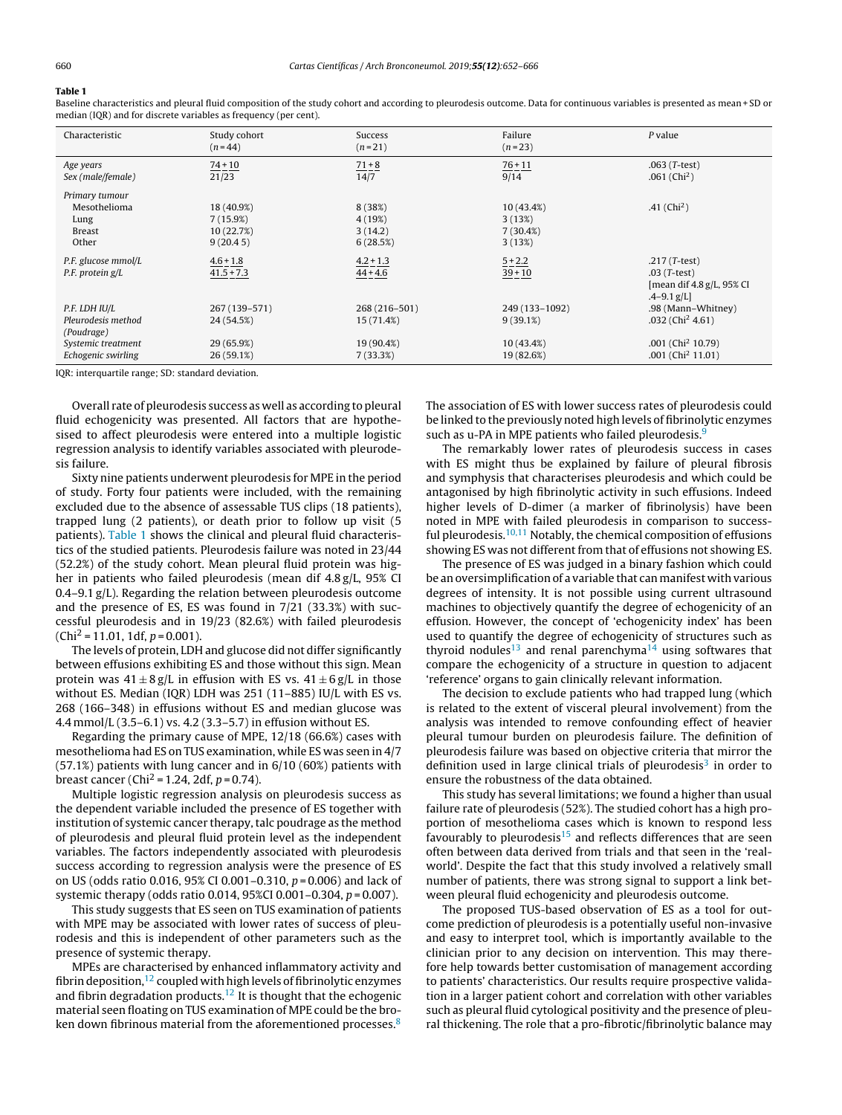# Table 1

Baseline characteristics and pleural fluid composition of the study cohort and according to pleurodesis outcome. Data for continuous variables is presented as mean + SD or median (IQR) and for discrete variables as frequency (per cent).

| Characteristic                 | Study cohort<br>$(n=44)$ | Success<br>$(n=21)$ | Failure<br>$(n=23)$ | P value                                                        |
|--------------------------------|--------------------------|---------------------|---------------------|----------------------------------------------------------------|
| Age years<br>Sex (male/female) | $74 + 10$<br>21/23       | $71 + 8$<br>14/7    | $76 + 11$<br>9/14   | $.063$ ( <i>T</i> -test)<br>.061 $(Chi2)$                      |
| Primary tumour                 |                          |                     |                     |                                                                |
| Mesothelioma                   | 18 (40.9%)               | 8(38%)              | 10 (43.4%)          | .41 ( $Chi2$ )                                                 |
| Lung                           | 7(15.9%)                 | 4(19%)              | 3(13%)              |                                                                |
| <b>Breast</b>                  | 10 (22.7%)               | 3(14.2)             | 7(30.4%)            |                                                                |
| Other                          | 9(20.45)                 | 6(28.5%)            | 3(13%)              |                                                                |
| P.F. glucose mmol/L            | $4.6 + 1.8$              | $4.2 + 1.3$         | $\frac{5 + 2.2}{2}$ | .217 $(T-test)$                                                |
| P.F. protein g/L               | $41.5 + 7.3$             | $44 + 4.6$          | $39 + 10$           | $.03$ (T-test)<br>[mean dif $4.8$ g/L, 95% CI<br>$-4-9.1$ g/L] |
| P.F. LDH IU/L                  | 267 (139–571)            | 268 (216-501)       | 249 (133-1092)      | .98 (Mann-Whitney)                                             |
| Pleurodesis method             | 24 (54.5%)               | 15 (71.4%)          | 9(39.1%)            | $.032$ (Chi <sup>2</sup> 4.61)                                 |
| (Poudrage)                     |                          |                     |                     |                                                                |
| Systemic treatment             | 29 (65.9%)               | 19 (90.4%)          | 10 (43.4%)          | $.001$ (Chi <sup>2</sup> 10.79)                                |
| Echogenic swirling             | 26 (59.1%)               | 7(33.3%)            | 19 (82.6%)          | .001 (Chi <sup>2</sup> 11.01)                                  |

IQR: interquartile range; SD: standard deviation.

Overall rate of pleurodesis success as well as according to pleural fluid echogenicity was presented. All factors that are hypothesised to affect pleurodesis were entered into a multiple logistic regression analysis to identify variables associated with pleurodesis failure.

Sixty nine patients underwent pleurodesis for MPE in the period of study. Forty four patients were included, with the remaining excluded due to the absence of assessable TUS clips (18 patients), trapped lung (2 patients), or death prior to follow up visit (5 patients). Table 1 shows the clinical and pleural fluid characteristics of the studied patients. Pleurodesis failure was noted in 23/44 (52.2%) of the study cohort. Mean pleural fluid protein was higher in patients who failed pleurodesis (mean dif 4.8 g/L, 95% CI 0.4–9.1 g/L). Regarding the relation between pleurodesis outcome and the presence of ES, ES was found in 7/21 (33.3%) with successful pleurodesis and in 19/23 (82.6%) with failed pleurodesis  $(Chi<sup>2</sup> = 11.01, 1df, p = 0.001).$ 

The levels of protein, LDH and glucose did not differ significantly between effusions exhibiting ES and those without this sign. Mean protein was  $41 \pm 8$  g/L in effusion with ES vs.  $41 \pm 6$  g/L in those without ES. Median (IQR) LDH was 251 (11–885) IU/L with ES vs. 268 (166–348) in effusions without ES and median glucose was 4.4 mmol/L (3.5–6.1) vs. 4.2 (3.3–5.7) in effusion without ES.

Regarding the primary cause of MPE, 12/18 (66.6%) cases with mesothelioma had ES on TUS examination, while ES was seen in 4/7 (57.1%) patients with lung cancer and in 6/10 (60%) patients with breast cancer (Chi<sup>2</sup> = 1.24, 2df,  $p = 0.74$ ).

Multiple logistic regression analysis on pleurodesis success as the dependent variable included the presence of ES together with institution of systemic cancer therapy, talc poudrage as the method of pleurodesis and pleural fluid protein level as the independent variables. The factors independently associated with pleurodesis success according to regression analysis were the presence of ES on US (odds ratio 0.016, 95% CI 0.001–0.310,  $p = 0.006$ ) and lack of systemic therapy (odds ratio 0.014, 95%CI 0.001–0.304, p = 0.007).

This study suggests that ES seen on TUS examination of patients with MPE may be associated with lower rates of success of pleurodesis and this is independent of other parameters such as the presence of systemic therapy.

MPEs are characterised by enhanced inflammatory activity and fibrin deposition,  $12$  coupled with high levels of fibrinolytic enzymes and fibrin degradation products.<sup>[12](#page-2-0)</sup> It is thought that the echogenic material seen floating on TUS examination of MPE could be the bro-ken down fibrinous material from the aforementioned processes.<sup>[8](#page-2-0)</sup> The association of ES with lower success rates of pleurodesis could be linked to the previously noted high levels of fibrinolytic enzymes such as u-PA in MPE patients who failed pleurodesis.<sup>[9](#page-2-0)</sup>

The remarkably lower rates of pleurodesis success in cases with ES might thus be explained by failure of pleural fibrosis and symphysis that characterises pleurodesis and which could be antagonised by high fibrinolytic activity in such effusions. Indeed higher levels of D-dimer (a marker of fibrinolysis) have been noted in MPE with failed pleurodesis in comparison to success-ful pleurodesis.<sup>[10,11](#page-2-0)</sup> Notably, the chemical composition of effusions showing ES was not different from that of effusions not showing ES.

The presence of ES was judged in a binary fashion which could be an oversimplification of a variable that can manifest with various degrees of intensity. It is not possible using current ultrasound machines to objectively quantify the degree of echogenicity of an effusion. However, the concept of 'echogenicity index' has been used to quantify the degree of echogenicity of structures such as thyroid nodules<sup>[13](#page-2-0)</sup> and renal parenchyma<sup>[14](#page-2-0)</sup> using softwares that compare the echogenicity of a structure in question to adjacent 'reference' organs to gain clinically relevant information.

The decision to exclude patients who had trapped lung (which is related to the extent of visceral pleural involvement) from the analysis was intended to remove confounding effect of heavier pleural tumour burden on pleurodesis failure. The definition of pleurodesis failure was based on objective criteria that mirror the definition used in large clinical trials of pleurodesis<sup>[3](#page-2-0)</sup> in order to ensure the robustness of the data obtained.

This study has several limitations; we found a higher than usual failure rate of pleurodesis (52%). The studied cohort has a high proportion of mesothelioma cases which is known to respond less favourably to pleurodesis<sup>[15](#page-2-0)</sup> and reflects differences that are seen often between data derived from trials and that seen in the 'realworld'. Despite the fact that this study involved a relatively small number of patients, there was strong signal to support a link between pleural fluid echogenicity and pleurodesis outcome.

The proposed TUS-based observation of ES as a tool for outcome prediction of pleurodesis is a potentially useful non-invasive and easy to interpret tool, which is importantly available to the clinician prior to any decision on intervention. This may therefore help towards better customisation of management according to patients' characteristics. Our results require prospective validation in a larger patient cohort and correlation with other variables such as pleural fluid cytological positivity and the presence of pleural thickening. The role that a pro-fibrotic/fibrinolytic balance may